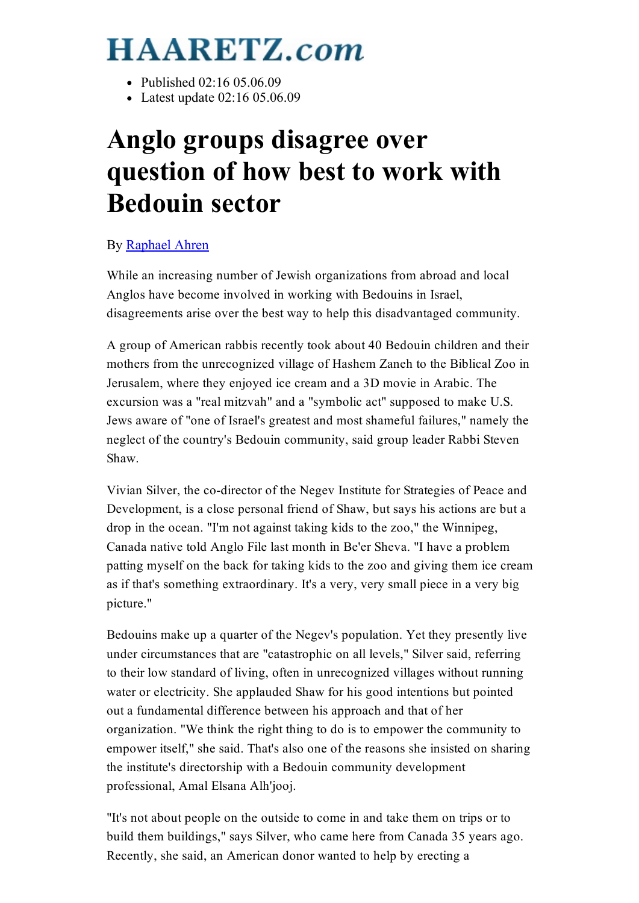## **HAARETZ.com**

- Published 02:16 05:06:09
- Latest update 02:16 05.06.09

## Anglo groups disagree over question of how best to work with Bedouin sector

## By [Raphael](http://www.haaretz.com/misc/writers/raphael-ahren-1.538) Ahren

While an increasing number of Jewish organizations from abroad and local Anglos have become involved in working with Bedouins in Israel, disagreements arise over the best way to help this disadvantaged community.

A group of American rabbis recently took about 40 Bedouin children and their mothers from the unrecognized village of Hashem Zaneh to the Biblical Zoo in Jerusalem, where they enjoyed ice cream and a 3D movie in Arabic. The excursion was a "real mitzvah" and a "symbolic act" supposed to make U.S. Jews aware of "one of Israel's greatest and most shameful failures," namely the neglect of the country's Bedouin community, said group leader Rabbi Steven Shaw.

Vivian Silver, the co-director of the Negev Institute for Strategies of Peace and Development, is a close personal friend of Shaw, but says his actions are but a drop in the ocean. "I'm not against taking kids to the zoo," the Winnipeg, Canada native told Anglo File last month in Be'er Sheva. "I have a problem patting myself on the back for taking kids to the zoo and giving them ice cream as if that's something extraordinary. It's a very, very small piece in a very big picture."

Bedouins make up a quarter of the Negev's population. Yet they presently live under circumstances that are "catastrophic on all levels," Silver said, referring to their low standard of living, often in unrecognized villages without running water or electricity. She applauded Shaw for his good intentions but pointed out a fundamental difference between his approach and that of her organization. "We think the right thing to do is to empower the community to empower itself," she said. That's also one of the reasons she insisted on sharing the institute's directorship with a Bedouin community development professional, Amal Elsana Alh'jooj.

"It's not about people on the outside to come in and take them on trips or to build them buildings," says Silver, who came here from Canada 35 years ago. Recently, she said, an American donor wanted to help by erecting a